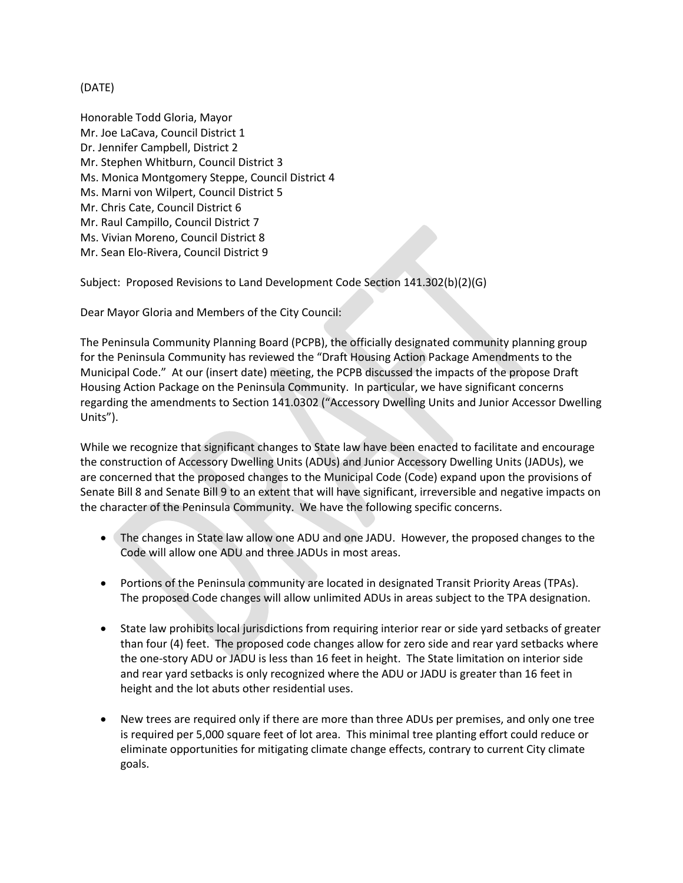## (DATE)

Honorable Todd Gloria, Mayor Mr. Joe LaCava, Council District 1 Dr. Jennifer Campbell, District 2 Mr. Stephen Whitburn, Council District 3 Ms. Monica Montgomery Steppe, Council District 4 Ms. Marni von Wilpert, Council District 5 Mr. Chris Cate, Council District 6 Mr. Raul Campillo, Council District 7 Ms. Vivian Moreno, Council District 8 Mr. Sean Elo-Rivera, Council District 9

Subject: Proposed Revisions to Land Development Code Section 141.302(b)(2)(G)

Dear Mayor Gloria and Members of the City Council:

The Peninsula Community Planning Board (PCPB), the officially designated community planning group for the Peninsula Community has reviewed the "Draft Housing Action Package Amendments to the Municipal Code." At our (insert date) meeting, the PCPB discussed the impacts of the propose Draft Housing Action Package on the Peninsula Community. In particular, we have significant concerns regarding the amendments to Section 141.0302 ("Accessory Dwelling Units and Junior Accessor Dwelling Units").

While we recognize that significant changes to State law have been enacted to facilitate and encourage the construction of Accessory Dwelling Units (ADUs) and Junior Accessory Dwelling Units (JADUs), we are concerned that the proposed changes to the Municipal Code (Code) expand upon the provisions of Senate Bill 8 and Senate Bill 9 to an extent that will have significant, irreversible and negative impacts on the character of the Peninsula Community. We have the following specific concerns.

- The changes in State law allow one ADU and one JADU. However, the proposed changes to the Code will allow one ADU and three JADUs in most areas.
- Portions of the Peninsula community are located in designated Transit Priority Areas (TPAs). The proposed Code changes will allow unlimited ADUs in areas subject to the TPA designation.
- State law prohibits local jurisdictions from requiring interior rear or side yard setbacks of greater than four (4) feet. The proposed code changes allow for zero side and rear yard setbacks where the one-story ADU or JADU is less than 16 feet in height. The State limitation on interior side and rear yard setbacks is only recognized where the ADU or JADU is greater than 16 feet in height and the lot abuts other residential uses.
- New trees are required only if there are more than three ADUs per premises, and only one tree is required per 5,000 square feet of lot area. This minimal tree planting effort could reduce or eliminate opportunities for mitigating climate change effects, contrary to current City climate goals.